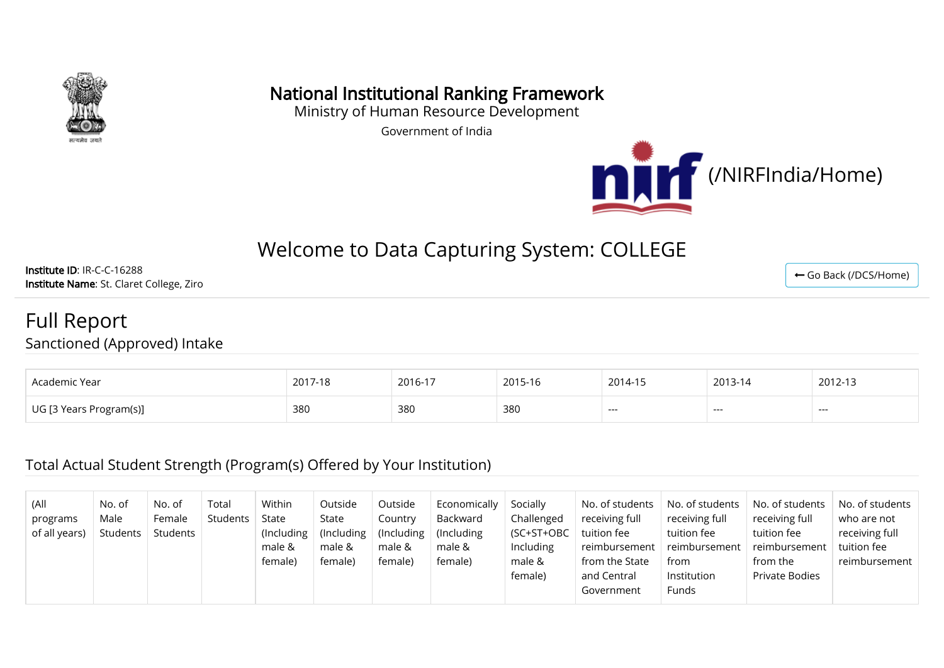

### National Institutional Ranking Framework

Ministry of Human Resource Development

Government of India



# Welcome to Data Capturing System: COLLEGE

Institute ID: IR-C-C-16288 Institute Name: St. Claret College, Ziro

# Full Report

Sanctioned (Approved) Intake

| Academic Year           | 2017-18<br>10 | 2016-17 | 2015-16 | 2014-15 | 2013-14 | 2012-13 |
|-------------------------|---------------|---------|---------|---------|---------|---------|
| UG [3 Years Program(s)] | 380           | 380     | 380     | ---     | $--$    | ---     |

#### Total Actual Student Strength (Program(s) Offered by Your Institution)

| (All<br>programs<br>of all years) | No. of<br>Male<br>Students | No. of<br>Female<br>Students | Total<br>Students | Within<br>State<br>(Including)<br>male &<br>female) | Outside<br>State<br>(Including)<br>male &<br>female) | Outside<br>Country<br>$($ Including<br>male &<br>female) | Economically<br>Backward<br>(Including)<br>male &<br>female) | Socially<br>Challenged<br>(SC+ST+OBC)<br>Including<br>male &<br>female) | No. of students<br>receiving full<br>tuition fee<br>reimbursement<br>from the State<br>and Central<br>Government | No. of students<br>receiving full<br>tuition fee<br>reimbursement<br>from<br>Institution<br>Funds | No. of students<br>receiving full<br>tuition fee<br>reimbursement<br>from the<br>Private Bodies | No. of students<br>who are not<br>receiving full<br>tuition fee<br>reimbursement |
|-----------------------------------|----------------------------|------------------------------|-------------------|-----------------------------------------------------|------------------------------------------------------|----------------------------------------------------------|--------------------------------------------------------------|-------------------------------------------------------------------------|------------------------------------------------------------------------------------------------------------------|---------------------------------------------------------------------------------------------------|-------------------------------------------------------------------------------------------------|----------------------------------------------------------------------------------|
|-----------------------------------|----------------------------|------------------------------|-------------------|-----------------------------------------------------|------------------------------------------------------|----------------------------------------------------------|--------------------------------------------------------------|-------------------------------------------------------------------------|------------------------------------------------------------------------------------------------------------------|---------------------------------------------------------------------------------------------------|-------------------------------------------------------------------------------------------------|----------------------------------------------------------------------------------|

← [Go Back \(/DCS/Home\)](http://login.nirfindia.org/DCS/Home)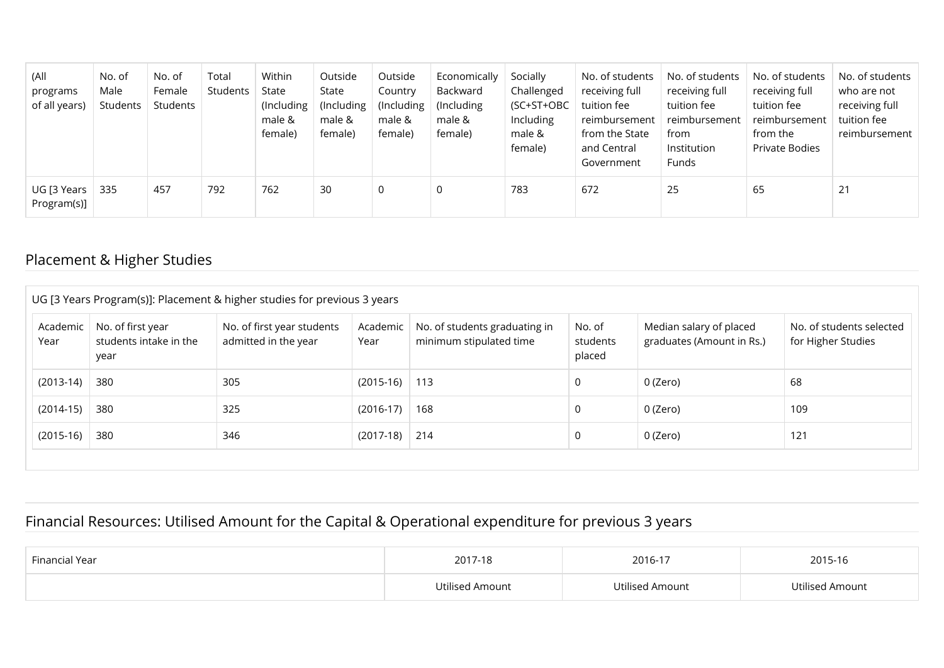| (All<br>programs<br>of all years) | No. of<br>Male<br>Students | No. of<br>Female<br>Students | Total<br>Students | Within<br>State<br>(Including<br>male &<br>female) | Outside<br>State<br>(Including)<br>male &<br>female) | Outside<br>Country<br>(Including<br>male &<br>female) | Economically<br>Backward<br>(Including)<br>male &<br>female) | Socially<br>Challenged<br>(SC+ST+OBC<br>Including<br>male &<br>female) | No. of students<br>receiving full<br>tuition fee<br>reimbursement  <br>from the State<br>and Central<br>Government | No. of students<br>receiving full<br>tuition fee<br>reimbursement<br>from<br>Institution<br>Funds | No. of students<br>receiving full<br>tuition fee<br>reimbursement<br>from the<br>Private Bodies | No. of students<br>who are not<br>receiving full<br>tuition fee<br>reimbursement |
|-----------------------------------|----------------------------|------------------------------|-------------------|----------------------------------------------------|------------------------------------------------------|-------------------------------------------------------|--------------------------------------------------------------|------------------------------------------------------------------------|--------------------------------------------------------------------------------------------------------------------|---------------------------------------------------------------------------------------------------|-------------------------------------------------------------------------------------------------|----------------------------------------------------------------------------------|
| UG [3 Years<br>Program(s)]        | 335                        | 457                          | 792               | 762                                                | 30                                                   | 0                                                     | 0                                                            | 783                                                                    | 672                                                                                                                | 25                                                                                                | 65                                                                                              | 21                                                                               |

### Placement & Higher Studies

|                  | UG [3 Years Program(s)]: Placement & higher studies for previous 3 years |                                                    |                  |                                                          |                              |                                                      |                                                |  |  |  |  |  |
|------------------|--------------------------------------------------------------------------|----------------------------------------------------|------------------|----------------------------------------------------------|------------------------------|------------------------------------------------------|------------------------------------------------|--|--|--|--|--|
| Academic<br>Year | No. of first year<br>students intake in the<br>year                      | No. of first year students<br>admitted in the year | Academic<br>Year | No. of students graduating in<br>minimum stipulated time | No. of<br>students<br>placed | Median salary of placed<br>graduates (Amount in Rs.) | No. of students selected<br>for Higher Studies |  |  |  |  |  |
| $(2013-14)$      | 380                                                                      | 305                                                | $(2015-16)$ 113  |                                                          | 0                            | 0 (Zero)                                             | 68                                             |  |  |  |  |  |
| $(2014-15)$      | 380                                                                      | 325                                                | $(2016-17)$      | 168                                                      | 0                            | 0 (Zero)                                             | 109                                            |  |  |  |  |  |
| $(2015-16)$      | 380                                                                      | 346                                                | $(2017-18)$      | 214                                                      | 0                            | 0 (Zero)                                             | 121                                            |  |  |  |  |  |
|                  |                                                                          |                                                    |                  |                                                          |                              |                                                      |                                                |  |  |  |  |  |

#### Financial Resources: Utilised Amount for the Capital & Operational expenditure for previous 3 years

| Financial Year | 2017-18         | 2016-17         | 2015-16         |  |
|----------------|-----------------|-----------------|-----------------|--|
|                | Utilised Amount | Utilised Amount | Utilised Amount |  |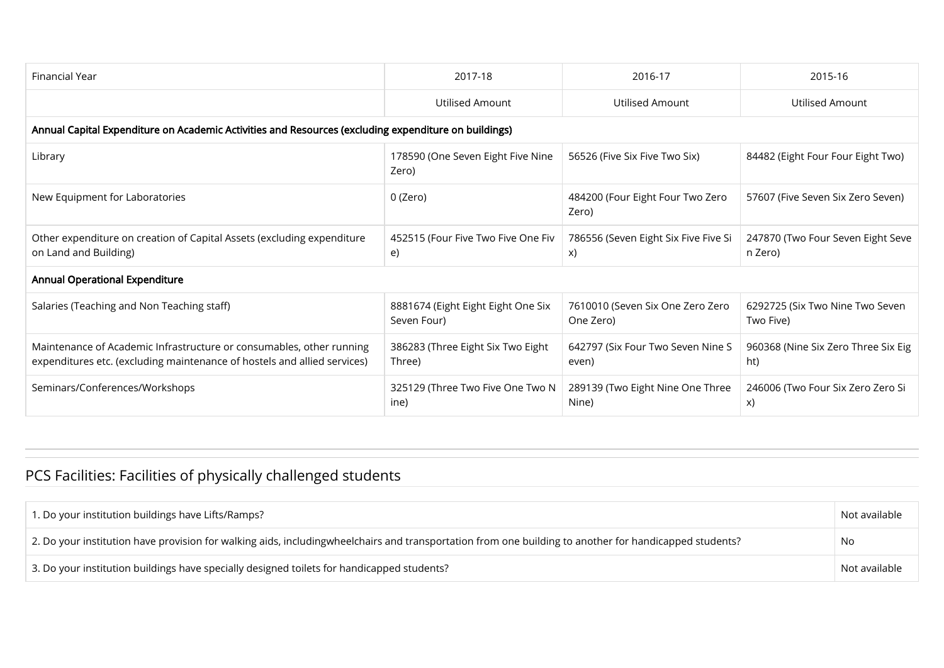| Financial Year                                                                                                                                   | 2017-18                                           | 2016-17                                       | 2015-16                                      |
|--------------------------------------------------------------------------------------------------------------------------------------------------|---------------------------------------------------|-----------------------------------------------|----------------------------------------------|
|                                                                                                                                                  | Utilised Amount                                   | Utilised Amount                               | Utilised Amount                              |
| Annual Capital Expenditure on Academic Activities and Resources (excluding expenditure on buildings)                                             |                                                   |                                               |                                              |
| Library                                                                                                                                          | 178590 (One Seven Eight Five Nine<br>Zero)        | 56526 (Five Six Five Two Six)                 | 84482 (Eight Four Four Eight Two)            |
| New Equipment for Laboratories                                                                                                                   | 0 (Zero)                                          | 484200 (Four Eight Four Two Zero<br>Zero)     | 57607 (Five Seven Six Zero Seven)            |
| Other expenditure on creation of Capital Assets (excluding expenditure<br>on Land and Building)                                                  | 452515 (Four Five Two Five One Fiv<br>e)          | 786556 (Seven Eight Six Five Five Si<br>X)    | 247870 (Two Four Seven Eight Seve<br>n Zero) |
| <b>Annual Operational Expenditure</b>                                                                                                            |                                                   |                                               |                                              |
| Salaries (Teaching and Non Teaching staff)                                                                                                       | 8881674 (Eight Eight Eight One Six<br>Seven Four) | 7610010 (Seven Six One Zero Zero<br>One Zero) | 6292725 (Six Two Nine Two Seven<br>Two Five) |
| Maintenance of Academic Infrastructure or consumables, other running<br>expenditures etc. (excluding maintenance of hostels and allied services) | 386283 (Three Eight Six Two Eight<br>Three)       | 642797 (Six Four Two Seven Nine S<br>even)    | 960368 (Nine Six Zero Three Six Eig<br>ht)   |
| Seminars/Conferences/Workshops                                                                                                                   | 325129 (Three Two Five One Two N<br>ine)          | 289139 (Two Eight Nine One Three<br>Nine)     | 246006 (Two Four Six Zero Zero Si<br>X)      |

## PCS Facilities: Facilities of physically challenged students

| 1. Do your institution buildings have Lifts/Ramps?                                                                                                     | Not available |
|--------------------------------------------------------------------------------------------------------------------------------------------------------|---------------|
| 2. Do your institution have provision for walking aids, includingwheelchairs and transportation from one building to another for handicapped students? | No            |
| 3. Do your institution buildings have specially designed toilets for handicapped students?                                                             | Not available |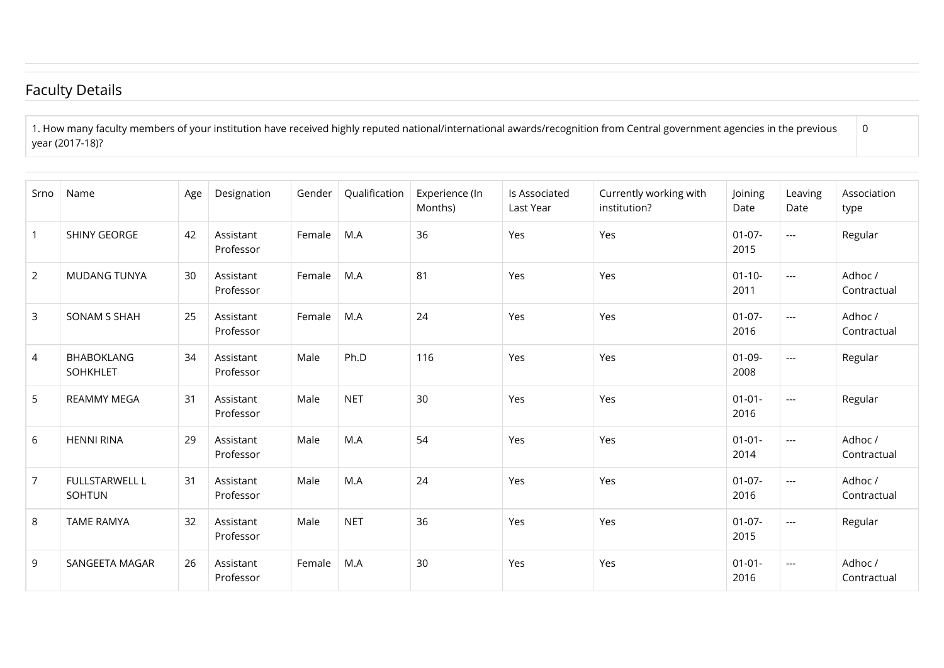### Faculty Details

1. How many faculty members of your institution have received highly reputed national/international awards/recognition from Central government agencies in the previous year (2017-18)?

| Srno           | Name                            | Age | Designation            | Gender | Qualification | Experience (In<br>Months) | Is Associated<br>Last Year | Currently working with<br>institution? | Joining<br>Date     | Leaving<br>Date | Association<br>type    |
|----------------|---------------------------------|-----|------------------------|--------|---------------|---------------------------|----------------------------|----------------------------------------|---------------------|-----------------|------------------------|
| $\mathbf{1}$   | <b>SHINY GEORGE</b>             | 42  | Assistant<br>Professor | Female | M.A           | 36                        | Yes                        | Yes                                    | $01 - 07 -$<br>2015 | ---             | Regular                |
| $\overline{2}$ | <b>MUDANG TUNYA</b>             | 30  | Assistant<br>Professor | Female | M.A           | 81                        | Yes                        | Yes                                    | $01 - 10 -$<br>2011 | ---             | Adhoc /<br>Contractual |
| 3              | SONAM S SHAH                    | 25  | Assistant<br>Professor | Female | M.A           | 24                        | Yes                        | Yes                                    | $01-07-$<br>2016    | $---$           | Adhoc /<br>Contractual |
| $\overline{4}$ | <b>BHABOKLANG</b><br>SOHKHLET   | 34  | Assistant<br>Professor | Male   | Ph.D          | 116                       | Yes                        | Yes                                    | $01 - 09 -$<br>2008 | ---             | Regular                |
| 5              | <b>REAMMY MEGA</b>              | 31  | Assistant<br>Professor | Male   | <b>NET</b>    | 30                        | Yes                        | Yes                                    | $01 - 01 -$<br>2016 | ---             | Regular                |
| 6              | <b>HENNI RINA</b>               | 29  | Assistant<br>Professor | Male   | M.A           | 54                        | Yes                        | Yes                                    | $01 - 01 -$<br>2014 | $---$           | Adhoc /<br>Contractual |
| $\overline{7}$ | <b>FULLSTARWELL L</b><br>SOHTUN | 31  | Assistant<br>Professor | Male   | M.A           | 24                        | Yes                        | Yes                                    | $01-07-$<br>2016    | ---             | Adhoc /<br>Contractual |
| 8              | <b>TAME RAMYA</b>               | 32  | Assistant<br>Professor | Male   | <b>NET</b>    | 36                        | Yes                        | Yes                                    | $01-07-$<br>2015    | ---             | Regular                |
| 9              | SANGEETA MAGAR                  | 26  | Assistant<br>Professor | Female | M.A           | 30                        | Yes                        | Yes                                    | $01 - 01 -$<br>2016 | ---             | Adhoc /<br>Contractual |

0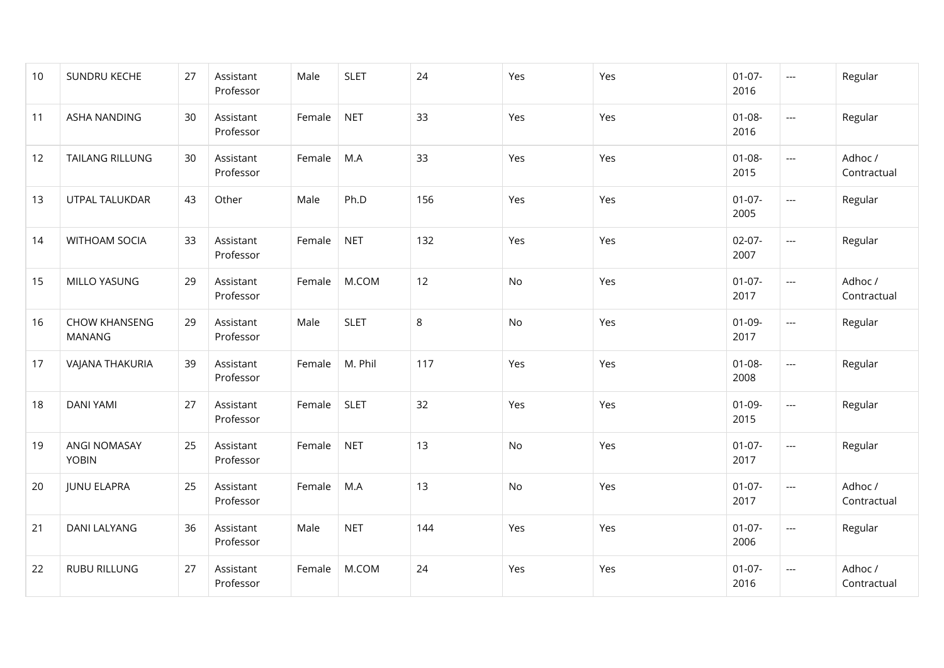| 10 | SUNDRU KECHE                          | 27 | Assistant<br>Professor | Male   | <b>SLET</b> | 24  | Yes | Yes | $01-07-$<br>2016    | $\scriptstyle\cdots$              | Regular                |
|----|---------------------------------------|----|------------------------|--------|-------------|-----|-----|-----|---------------------|-----------------------------------|------------------------|
| 11 | ASHA NANDING                          | 30 | Assistant<br>Professor | Female | <b>NET</b>  | 33  | Yes | Yes | $01 - 08 -$<br>2016 | $\scriptstyle\cdots$              | Regular                |
| 12 | <b>TAILANG RILLUNG</b>                | 30 | Assistant<br>Professor | Female | M.A         | 33  | Yes | Yes | $01 - 08 -$<br>2015 | $\hspace{0.05cm} \ldots$          | Adhoc /<br>Contractual |
| 13 | UTPAL TALUKDAR                        | 43 | Other                  | Male   | Ph.D        | 156 | Yes | Yes | $01-07-$<br>2005    | $\hspace{0.05cm} \ldots$          | Regular                |
| 14 | <b>WITHOAM SOCIA</b>                  | 33 | Assistant<br>Professor | Female | <b>NET</b>  | 132 | Yes | Yes | $02-07-$<br>2007    | $\hspace{0.05cm} \ldots$          | Regular                |
| 15 | MILLO YASUNG                          | 29 | Assistant<br>Professor | Female | M.COM       | 12  | No  | Yes | $01-07-$<br>2017    | $\hspace{0.05cm} \ldots$          | Adhoc /<br>Contractual |
| 16 | <b>CHOW KHANSENG</b><br><b>MANANG</b> | 29 | Assistant<br>Professor | Male   | <b>SLET</b> | 8   | No  | Yes | $01-09-$<br>2017    | ---                               | Regular                |
| 17 | VAJANA THAKURIA                       | 39 | Assistant<br>Professor | Female | M. Phil     | 117 | Yes | Yes | $01 - 08 -$<br>2008 | ---                               | Regular                |
| 18 | <b>DANI YAMI</b>                      | 27 | Assistant<br>Professor | Female | <b>SLET</b> | 32  | Yes | Yes | $01-09-$<br>2015    | $\hspace{0.05cm} \ldots$          | Regular                |
| 19 | ANGI NOMASAY<br><b>YOBIN</b>          | 25 | Assistant<br>Professor | Female | <b>NET</b>  | 13  | No  | Yes | $01-07-$<br>2017    | $\hspace{0.05cm} \ldots$          | Regular                |
| 20 | <b>JUNU ELAPRA</b>                    | 25 | Assistant<br>Professor | Female | M.A         | 13  | No  | Yes | $01-07-$<br>2017    | $\hspace{0.05cm} \ldots$          | Adhoc /<br>Contractual |
| 21 | <b>DANI LALYANG</b>                   | 36 | Assistant<br>Professor | Male   | <b>NET</b>  | 144 | Yes | Yes | $01-07-$<br>2006    | $\hspace{0.05cm} \ldots$          | Regular                |
| 22 | <b>RUBU RILLUNG</b>                   | 27 | Assistant<br>Professor | Female | M.COM       | 24  | Yes | Yes | $01-07-$<br>2016    | $\hspace{0.05cm} \dashrightarrow$ | Adhoc /<br>Contractual |